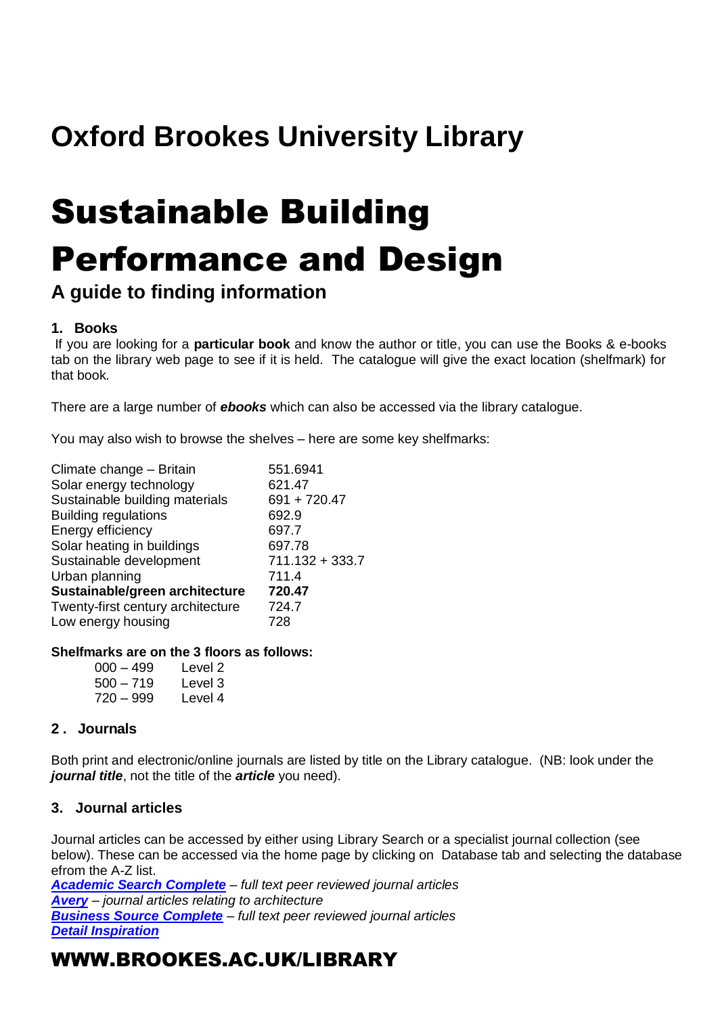## **Oxford Brookes University Library**

# Sustainable Building Performance and Design

## **A guide to finding information**

#### **1. Books**

If you are looking for a **particular book** and know the author or title, you can use the Books & e-books tab on the library web page to see if it is held. The catalogue will give the exact location (shelfmark) for that book.

There are a large number of *ebooks* which can also be accessed via the library catalogue.

You may also wish to browse the shelves – here are some key shelfmarks:

| Climate change - Britain          | 551.6941          |
|-----------------------------------|-------------------|
| Solar energy technology           | 621.47            |
| Sustainable building materials    | $691 + 720.47$    |
| <b>Building regulations</b>       | 692.9             |
| Energy efficiency                 | 697.7             |
| Solar heating in buildings        | 697.78            |
| Sustainable development           | $711.132 + 333.7$ |
| Urban planning                    | 711.4             |
| Sustainable/green architecture    | 720.47            |
| Twenty-first century architecture | 724.7             |
| Low energy housing                | 728               |
|                                   |                   |

#### **Shelfmarks are on the 3 floors as follows:**

| 000 – 499 | Level 2 |
|-----------|---------|
| 500 – 719 | Level 3 |
| 720 – 999 | Level 4 |

#### **2 . Journals**

Both print and electronic/online journals are listed by title on the Library catalogue. (NB: look under the *journal title*, not the title of the *article* you need).

#### **3. Journal articles**

Journal articles can be accessed by either using Library Search or a specialist journal collection (see below). These can be accessed via the home page by clicking on Database tab and selecting the database efrom the A-Z list.

*[Academic Search Complete](http://opac.brookes.ac.uk/www-bin/ejnls?CN=S0017688OX) – full text peer reviewed journal articles [Avery](http://opac.brookes.ac.uk/www-bin/ejnls?CN=S0000365MP) – journal articles relating to architecture [Business Source Complete](http://opac.brookes.ac.uk/www-bin/ejnls?CN=S0014834OX) – full text peer reviewed journal articles [Detail Inspiration](http://opac.brookes.ac.uk/www-bin/ejnls?CN=S0029627OX)*

### WWW.BROOKES.AC.UK/LIBRARY